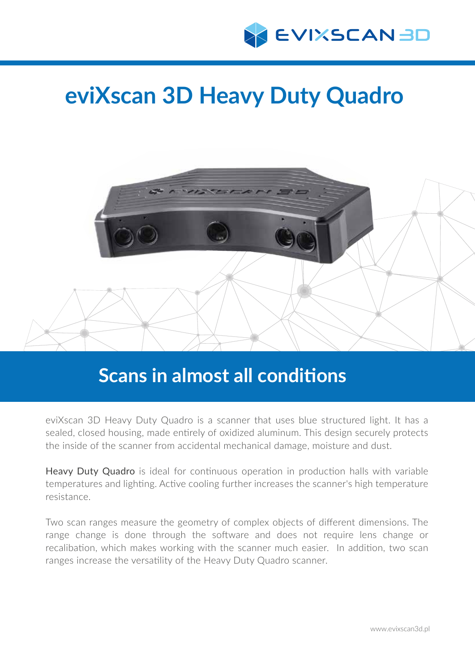

# **eviXscan 3D Heavy Duty Quadro**



# **Scans in almost all conditions**

eviXscan 3D Heavy Duty Quadro is a scanner that uses blue structured light. It has a sealed, closed housing, made entirely of oxidized aluminum. This design securely protects the inside of the scanner from accidental mechanical damage, moisture and dust.

Heavy Duty Quadro is ideal for continuous operation in production halls with variable temperatures and lighting. Active cooling further increases the scanner's high temperature resistance.

Two scan ranges measure the geometry of complex objects of different dimensions. The range change is done through the software and does not require lens change or recalibation, which makes working with the scanner much easier. In addition, two scan ranges increase the versatility of the Heavy Duty Quadro scanner.